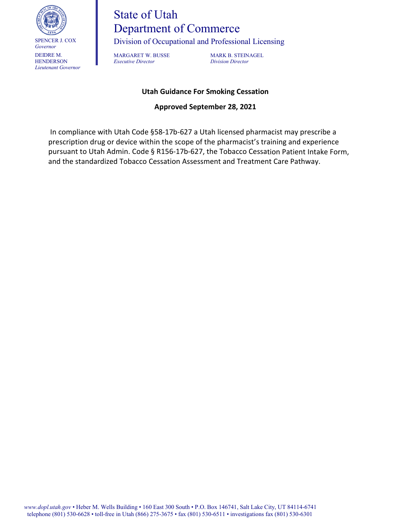

# State of Utah Department of Commerce

Division of Occupational and Professional Licensing

*Executive Director Division Director*

MARGARET W. BUSSE MARK B. STEINAGEL

## **Utah Guidance For Smoking Cessation**

## **Approved September 28, 2021**

In compliance with Utah Code §58-17b-627 a Utah licensed pharmacist may prescribe a prescription drug or device within the scope of the pharmacist's training and experience pursuant to Utah Admin. Code § R156-17b-627, the Tobacco Cessation Patient Intake Form, and the standardized Tobacco Cessation Assessment and Treatment Care Pathway.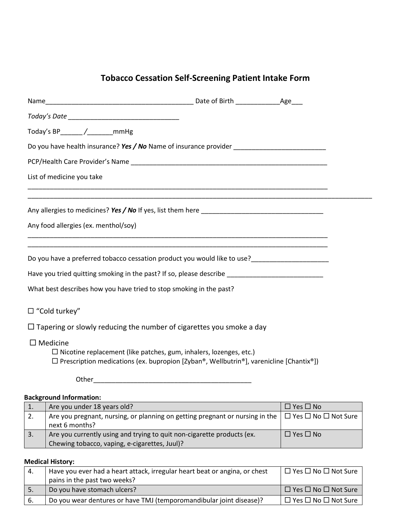## **Tobacco Cessation Self-Screening Patient Intake Form**

|                    | Today's BP_______/_________mmHg                                                                                                                                            |                                                                                                                      |                            |  |
|--------------------|----------------------------------------------------------------------------------------------------------------------------------------------------------------------------|----------------------------------------------------------------------------------------------------------------------|----------------------------|--|
|                    |                                                                                                                                                                            |                                                                                                                      |                            |  |
|                    |                                                                                                                                                                            |                                                                                                                      |                            |  |
|                    | List of medicine you take                                                                                                                                                  |                                                                                                                      |                            |  |
|                    | <u> 1989 - Johann Stoff, amerikansk politiker (d. 1989)</u>                                                                                                                |                                                                                                                      |                            |  |
|                    | Any food allergies (ex. menthol/soy)                                                                                                                                       |                                                                                                                      |                            |  |
|                    |                                                                                                                                                                            |                                                                                                                      |                            |  |
|                    |                                                                                                                                                                            |                                                                                                                      |                            |  |
|                    | Have you tried quitting smoking in the past? If so, please describe _______________________________                                                                        |                                                                                                                      |                            |  |
|                    | What best describes how you have tried to stop smoking in the past?                                                                                                        |                                                                                                                      |                            |  |
| □ "Cold turkey"    |                                                                                                                                                                            |                                                                                                                      |                            |  |
|                    | $\Box$ Tapering or slowly reducing the number of cigarettes you smoke a day                                                                                                |                                                                                                                      |                            |  |
| $\square$ Medicine | $\Box$ Nicotine replacement (like patches, gum, inhalers, lozenges, etc.)<br>$\Box$ Prescription medications (ex. bupropion [Zyban®, Wellbutrin®], varenicline [Chantix®]) |                                                                                                                      |                            |  |
|                    | Other and the contract of the contract of the contract of the contract of the contract of the contract of the                                                              |                                                                                                                      |                            |  |
|                    | <b>Background Information:</b>                                                                                                                                             | <u> 1980 - Johann Barn, mars ann an t-Amhain Aonaich an t-Aonaich an t-Aonaich ann an t-Aonaich ann an t-Aonaich</u> |                            |  |
|                    | $1 \cdot \ln \sqrt{\ln \ln \ln \ln \ln \ln 10}$                                                                                                                            |                                                                                                                      | $\Box$ $\vee$ oc $\Box$ No |  |

|    | Are you under 18 years old?                                                  | $\Box$ Yes $\Box$ No                 |
|----|------------------------------------------------------------------------------|--------------------------------------|
| 2. | Are you pregnant, nursing, or planning on getting pregnant or nursing in the | $\Box$ Yes $\Box$ No $\Box$ Not Sure |
|    | next 6 months?                                                               |                                      |
| 3. | Are you currently using and trying to quit non-cigarette products (ex.       | $\Box$ Yes $\Box$ No                 |
|    | Chewing tobacco, vaping, e-cigarettes, Juul)?                                |                                      |

## **Medical History:**

| 4.  | Have you ever had a heart attack, irregular heart beat or angina, or chest | $\Box$ Yes $\Box$ No $\Box$ Not Sure |
|-----|----------------------------------------------------------------------------|--------------------------------------|
|     | pains in the past two weeks?                                               |                                      |
|     | Do you have stomach ulcers?                                                | $\Box$ Yes $\Box$ No $\Box$ Not Sure |
| -6. | Do you wear dentures or have TMJ (temporomandibular joint disease)?        | $\Box$ Yes $\Box$ No $\Box$ Not Sure |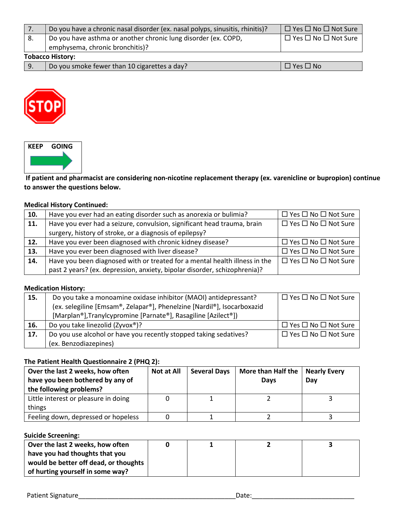|                         | Do you have a chronic nasal disorder (ex. nasal polyps, sinusitis, rhinitis)? | $\Box$ Yes $\Box$ No $\Box$ Not Sure |  |  |
|-------------------------|-------------------------------------------------------------------------------|--------------------------------------|--|--|
|                         | Do you have asthma or another chronic lung disorder (ex. COPD,                | $\Box$ Yes $\Box$ No $\Box$ Not Sure |  |  |
|                         | emphysema, chronic bronchitis)?                                               |                                      |  |  |
| <b>Tobacco History:</b> |                                                                               |                                      |  |  |

|  | Do you smoke fewer than 10 cigarettes a day? | $\Box$ Yes $\Box$ No |
|--|----------------------------------------------|----------------------|





**If patient and pharmacist are considering non-nicotine replacement therapy (ex. varenicline or bupropion) continue to answer the questions below.**

#### **Medical History Continued:**

| 10. | Have you ever had an eating disorder such as anorexia or bulimia?          | $\Box$ Yes $\Box$ No $\Box$ Not Sure |
|-----|----------------------------------------------------------------------------|--------------------------------------|
| 11. | Have you ever had a seizure, convulsion, significant head trauma, brain    | $\Box$ Yes $\Box$ No $\Box$ Not Sure |
|     | surgery, history of stroke, or a diagnosis of epilepsy?                    |                                      |
| 12. | Have you ever been diagnosed with chronic kidney disease?                  | $\Box$ Yes $\Box$ No $\Box$ Not Sure |
| 13. | Have you ever been diagnosed with liver disease?                           | $\Box$ Yes $\Box$ No $\Box$ Not Sure |
| 14. | Have you been diagnosed with or treated for a mental health illness in the | $\Box$ Yes $\Box$ No $\Box$ Not Sure |
|     | past 2 years? (ex. depression, anxiety, bipolar disorder, schizophrenia)?  |                                      |

## **Medication History:**

| 15. | Do you take a monoamine oxidase inhibitor (MAOI) antidepressant?                                      | $\Box$ Yes $\Box$ No $\Box$ Not Sure |
|-----|-------------------------------------------------------------------------------------------------------|--------------------------------------|
|     | (ex. selegiline [Emsam®, Zelapar®], Phenelzine [Nardil®], Isocarboxazid                               |                                      |
|     | [Marplan <sup>®</sup> ], Tranylcypromine [Parnate <sup>®</sup> ], Rasagiline [Azilect <sup>®</sup> ]) |                                      |
| 16. | Do you take linezolid (Zyvox®)?                                                                       | $\Box$ Yes $\Box$ No $\Box$ Not Sure |
| 17. | Do you use alcohol or have you recently stopped taking sedatives?                                     | $\Box$ Yes $\Box$ No $\Box$ Not Sure |
|     | (ex. Benzodiazepines)                                                                                 |                                      |

#### **The Patient Health Questionnaire 2 (PHQ 2):**

| Over the last 2 weeks, how often<br>have you been bothered by any of<br>the following problems? | <b>Not at All</b> | <b>Several Days</b> | <b>More than Half the</b><br>Days | <b>Nearly Every</b><br>Dav |
|-------------------------------------------------------------------------------------------------|-------------------|---------------------|-----------------------------------|----------------------------|
| Little interest or pleasure in doing<br>things                                                  |                   |                     |                                   |                            |
| Feeling down, depressed or hopeless                                                             |                   |                     |                                   |                            |

#### **Suicide Screening:**

| Over the last 2 weeks, how often      |  |  |
|---------------------------------------|--|--|
| have you had thoughts that you        |  |  |
| would be better off dead, or thoughts |  |  |
| of hurting yourself in some way?      |  |  |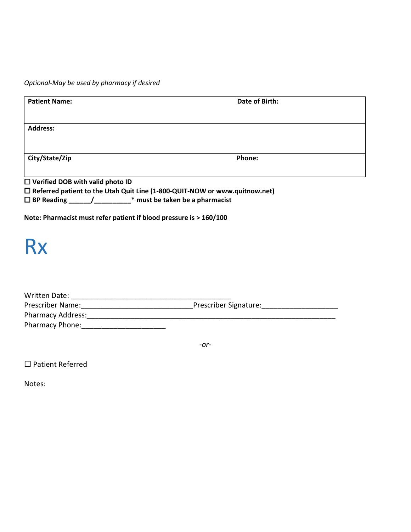*Optional-May be used by pharmacy if desired*

| <b>Patient Name:</b>                                                    | Date of Birth:                                                                       |
|-------------------------------------------------------------------------|--------------------------------------------------------------------------------------|
| <b>Address:</b>                                                         |                                                                                      |
| City/State/Zip                                                          | Phone:                                                                               |
| $\Box$ Verified DOB with valid photo ID                                 | $\square$ Referred patient to the Utah Quit Line (1-800-QUIT-NOW or www.quitnow.net) |
| □ BP Reading ______/____________* must be taken be a pharmacist         |                                                                                      |
| Note: Pharmacist must refer patient if blood pressure is $\geq$ 160/100 |                                                                                      |
| <b>Rx</b>                                                               |                                                                                      |
|                                                                         |                                                                                      |
|                                                                         |                                                                                      |
|                                                                         |                                                                                      |
| Pharmacy Phone:                                                         |                                                                                      |

*-or*-

□ Patient Referred

Notes: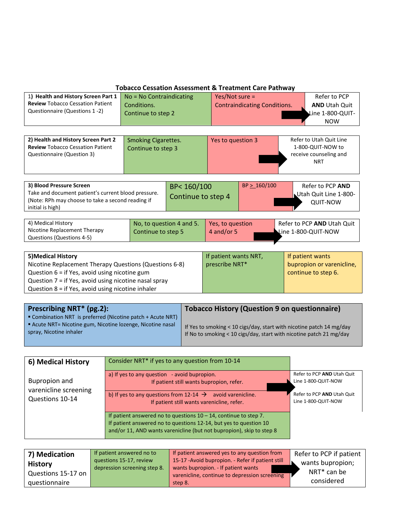| <b>Tobacco Cessation Assessment &amp; Treatment Care Pathway</b>                                                                                                                                                                            |                                                  |  |                                                                                    |                                                         |                                                                                      |                                                       |
|---------------------------------------------------------------------------------------------------------------------------------------------------------------------------------------------------------------------------------------------|--------------------------------------------------|--|------------------------------------------------------------------------------------|---------------------------------------------------------|--------------------------------------------------------------------------------------|-------------------------------------------------------|
| 1) Health and History Screen Part 1<br><b>Review Tobacco Cessation Patient</b>                                                                                                                                                              | No = No Contraindicating<br>Conditions.          |  |                                                                                    | $Yes/Not sure =$<br><b>Contraindicating Conditions.</b> |                                                                                      | Refer to PCP<br><b>AND Utah Quit</b>                  |
| Questionnaire (Questions 1-2)                                                                                                                                                                                                               | Continue to step 2                               |  |                                                                                    |                                                         |                                                                                      | Line 1-800-QUIT-<br><b>NOW</b>                        |
|                                                                                                                                                                                                                                             |                                                  |  |                                                                                    |                                                         |                                                                                      |                                                       |
| 2) Health and History Screen Part 2<br><b>Review Tobacco Cessation Patient</b><br>Questionnaire (Question 3)                                                                                                                                | <b>Smoking Cigarettes.</b><br>Continue to step 3 |  | Yes to question 3                                                                  |                                                         | Refer to Utah Quit Line<br>1-800-QUIT-NOW to<br>receive counseling and<br><b>NRT</b> |                                                       |
| 3) Blood Pressure Screen<br>BP<160/100<br>Take and document patient's current blood pressure.<br>(Note: RPh may choose to take a second reading if<br>initial is high)                                                                      |                                                  |  | Continue to step 4                                                                 | BP > 160/100                                            |                                                                                      | Refer to PCP AND<br>Utah Quit Line 1-800-<br>QUIT-NOW |
| 4) Medical History<br>No, to question 4 and 5.<br>Nicotine Replacement Therapy<br>Continue to step 5<br>Questions (Questions 4-5)                                                                                                           |                                                  |  | Yes, to question<br>4 and/or 5                                                     |                                                         |                                                                                      | Refer to PCP AND Utah Quit<br>Line 1-800-QUIT-NOW     |
|                                                                                                                                                                                                                                             |                                                  |  |                                                                                    |                                                         |                                                                                      |                                                       |
| 5) Medical History<br>Nicotine Replacement Therapy Questions (Questions 6-8)<br>Question 6 = if Yes, avoid using nicotine gum<br>Question 7 = if Yes, avoid using nicotine nasal spray<br>Question 8 = if Yes, avoid using nicotine inhaler |                                                  |  | If patient wants NRT,<br>If patient wants<br>prescribe NRT*<br>continue to step 6. |                                                         | bupropion or varenicline,                                                            |                                                       |
| Prescribing NRT* (pg.2):                                                                                                                                                                                                                    |                                                  |  |                                                                                    | <b>Tobacco History (Question 9 on questionnaire)</b>    |                                                                                      |                                                       |
| " Combination NRT is preferred (Nicotine patch + Acute NRT)                                                                                                                                                                                 |                                                  |  |                                                                                    |                                                         |                                                                                      |                                                       |

| ■ Combination NRT is preferred (Nicotine patch + Acute NRT) |                                                                      |
|-------------------------------------------------------------|----------------------------------------------------------------------|
| Acute NRT= Nicotine gum, Nicotine lozenge, Nicotine nasal   | If Yes to smoking < 10 cigs/day, start with nicotine patch 14 mg/day |
| spray, Nicotine inhaler                                     | If No to smoking < 10 cigs/day, start with nicotine patch 21 mg/day  |

| 6) Medical History                       | Consider NRT* if yes to any question from 10-14                                                                                                                                                                  |                                                   |
|------------------------------------------|------------------------------------------------------------------------------------------------------------------------------------------------------------------------------------------------------------------|---------------------------------------------------|
| Bupropion and                            | a) If yes to any question $\sim$ avoid bupropion.<br>If patient still wants bupropion, refer.                                                                                                                    | Refer to PCP AND Utah Quit<br>Line 1-800-QUIT-NOW |
| varenicline screening<br>Questions 10-14 | b) If yes to any questions from 12-14 $\rightarrow$ avoid varenicline.<br>If patient still wants varenicline, refer.                                                                                             | Refer to PCP AND Utah Quit<br>Line 1-800-QUIT-NOW |
|                                          | If patient answered no to questions $10 - 14$ , continue to step 7.<br>If patient answered no to questions 12-14, but yes to question 10<br>and/or 11, AND wants varenicline (but not bupropion), skip to step 8 |                                                   |

| 7) Medication      | If patient answered no to    | If patient answered yes to any question from      | Refer to PCP if patient |
|--------------------|------------------------------|---------------------------------------------------|-------------------------|
| <b>History</b>     | questions 15-17, review      | 15-17 - Avoid bupropion. - Refer if patient still | wants bupropion;        |
|                    | depression screening step 8. | wants bupropion. - If patient wants               | NRT <sup>*</sup> can be |
| Questions 15-17 on |                              | varenicline, continue to depression screening     |                         |
| questionnaire      |                              | step 8.                                           | considered              |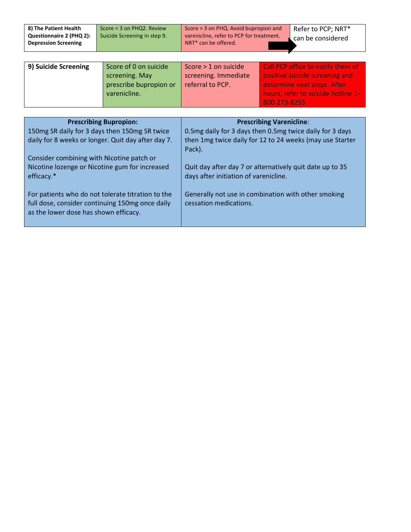| 8) The Patient Health       | Score < 3 on PHQ2. Review    | Score > 3 on PHQ. Avoid bupropion and    | Refer to PCP; NRT*  |
|-----------------------------|------------------------------|------------------------------------------|---------------------|
| Questionnaire 2 (PHQ 2):    | Suicide Screening in step 9. | varenicline, refer to PCP for treatment. | L can be considered |
| <b>Depression Screening</b> |                              | NRT <sup>*</sup> can be offered.         |                     |
|                             |                              |                                          |                     |

| 9) Suicide Screening | Score of 0 on suicide  | Score > 1 on suicide | Call PCP office to notify them of  |
|----------------------|------------------------|----------------------|------------------------------------|
|                      | screening. May         | screening. Immediate | positive suicide screening and     |
|                      |                        |                      |                                    |
|                      | prescribe bupropion or | referral to PCP.     | determine next steps. After        |
|                      | varenicline.           |                      | hours, refer to suicide hotline 1- |
|                      |                        |                      | 800-273-8255                       |

| <b>Prescribing Bupropion:</b>                                                                                                                 | <b>Prescribing Varenicline:</b>                                                                   |
|-----------------------------------------------------------------------------------------------------------------------------------------------|---------------------------------------------------------------------------------------------------|
| 150mg SR daily for 3 days then 150mg SR twice                                                                                                 | 0.5mg daily for 3 days then 0.5mg twice daily for 3 days                                          |
| daily for 8 weeks or longer. Quit day after day 7.                                                                                            | then 1mg twice daily for 12 to 24 weeks (may use Starter<br>Pack).                                |
| Consider combining with Nicotine patch or                                                                                                     |                                                                                                   |
| Nicotine lozenge or Nicotine gum for increased<br>efficacy.*                                                                                  | Quit day after day 7 or alternatively quit date up to 35<br>days after initiation of varenicline. |
| For patients who do not tolerate titration to the<br>full dose, consider continuing 150mg once daily<br>as the lower dose has shown efficacy. | Generally not use in combination with other smoking<br>cessation medications.                     |